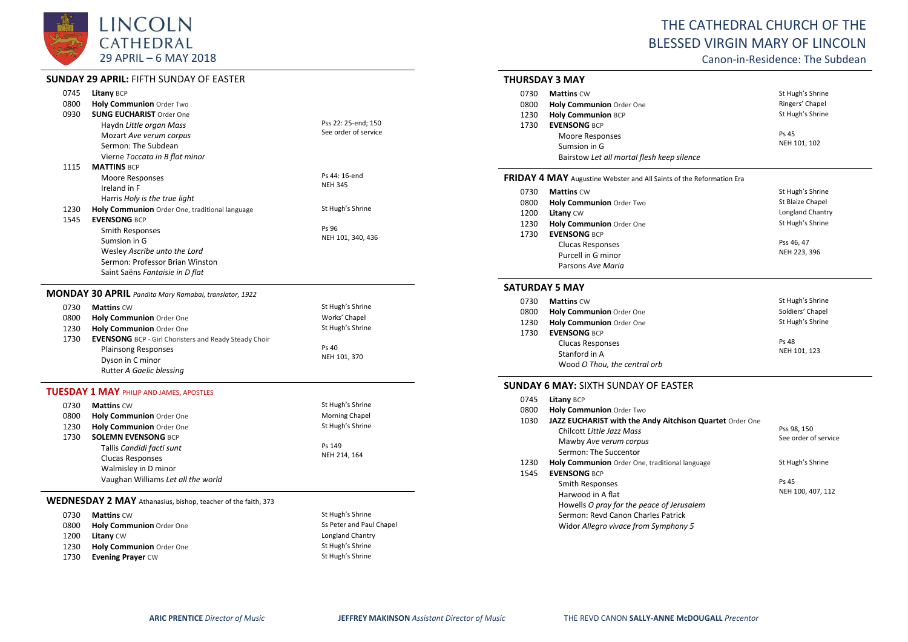

# **SUNDAY 29 APRIL:** FIFTH SUNDAY OF EASTER

| 0745 | <b>Litany BCP</b>                                            |                      |  |
|------|--------------------------------------------------------------|----------------------|--|
| 0800 | Holy Communion Order Two                                     |                      |  |
| 0930 | <b>SUNG EUCHARIST Order One</b>                              |                      |  |
|      | Haydn Little organ Mass                                      | Pss 22: 25-end; 150  |  |
|      | Mozart Ave verum corpus                                      | See order of service |  |
|      | Sermon: The Subdean                                          |                      |  |
|      | Vierne Toccata in B flat minor                               |                      |  |
| 1115 | <b>MATTINS BCP</b>                                           |                      |  |
|      | Moore Responses                                              | Ps 44: 16-end        |  |
|      | Ireland in F                                                 | <b>NEH 345</b>       |  |
|      | Harris Holy is the true light                                |                      |  |
| 1230 | Holy Communion Order One, traditional language               | St Hugh's Shrine     |  |
| 1545 | <b>FVENSONG BCP</b>                                          |                      |  |
|      | <b>Smith Responses</b>                                       | Ps 96                |  |
|      | Sumsion in G                                                 | NEH 101, 340, 436    |  |
|      | Wesley Ascribe unto the Lord                                 |                      |  |
|      | Sermon: Professor Brian Winston                              |                      |  |
|      | Saint Saëns Fantaisie in D flat                              |                      |  |
|      | MONDAY 30 APRIL Pandita Mary Ramabai, translator, 1922       |                      |  |
| 0730 | <b>Mattins CW</b>                                            | St Hugh's Shrine     |  |
| 0800 | Holy Communion Order One                                     | Works' Chapel        |  |
| 1230 | Holy Communion Order One                                     | St Hugh's Shrine     |  |
| 1730 | <b>EVENSONG</b> BCP - Girl Choristers and Ready Steady Choir |                      |  |
|      | Plainsong Responses                                          | Ps 40                |  |
|      | Dyson in C minor                                             | NEH 101, 370         |  |
|      | Rutter A Gaelic blessing                                     |                      |  |
|      | <b>TUESDAY 1 MAY PHILIP AND JAMES, APOSTLES</b>              |                      |  |
| 0730 | <b>Mattins CW</b>                                            | St Hugh's Shrine     |  |
| ററേറ | Holy Communion Order One                                     | Morning Chanel       |  |

| 0800 | <b>Holy Communion Order One</b>    | <b>Morning Chapel</b> |
|------|------------------------------------|-----------------------|
| 1230 | Holy Communion Order One           | St Hugh's Shrine      |
| 1730 | <b>SOLEMN EVENSONG BCP</b>         |                       |
|      | Tallis Candidi facti sunt          | Ps 149                |
|      | Clucas Responses                   | NEH 214, 164          |
|      | Walmisley in D minor               |                       |
|      | Vaughan Williams Let all the world |                       |

# **WEDNESDAY 2 MAY** Athanasius, bishop, teacher of the faith, 373

| 0730 | <b>Mattins CW</b>        | St Hugh's Shrine         |
|------|--------------------------|--------------------------|
| 0800 | Holy Communion Order One | Ss Peter and Paul Chapel |
| 1200 | <b>Litany CW</b>         | Longland Chantry         |
| 1230 | Holy Communion Order One | St Hugh's Shrine         |
| 1730 | <b>Evening Prayer CW</b> | St Hugh's Shrine         |

# THE CATHEDRAL CHURCH OF THE BLESSED VIRGIN MARY OF LINCOLN

Canon-in-Residence: The Subdean

# **THURSDAY 3 MAY**

| 0730 | <b>Mattins CW</b>                          | St Hugh's Shrine |
|------|--------------------------------------------|------------------|
| 0800 | Holy Communion Order One                   | Ringers' Chapel  |
| 1230 | <b>Holy Communion BCP</b>                  | St Hugh's Shrine |
| 1730 | <b>EVENSONG BCP</b>                        |                  |
|      | Moore Responses                            | Ps 45            |
|      | Sumsion in G                               | NEH 101, 102     |
|      | Bairstow Let all mortal flesh keep silence |                  |

## **FRIDAY 4 MAY** Augustine Webster and All Saints of the Reformation Era

| 0730 | <b>Mattins CW</b>        | St Hugh's Shrine |
|------|--------------------------|------------------|
| 0800 | Holy Communion Order Two | St Blaize Chapel |
| 1200 | Litany CW                | Longland Chantry |
| 1230 | Holy Communion Order One | St Hugh's Shrine |
| 1730 | <b>EVENSONG BCP</b>      |                  |
|      | <b>Clucas Responses</b>  | Pss 46, 47       |
|      | Purcell in G minor       | NEH 223, 396     |
|      | Parsons Ave Maria        |                  |

#### **SATURDAY 5 MAY**

| 0730 | <b>Mattins CW</b>            | St Hugh's Shrine |
|------|------------------------------|------------------|
| 0800 | Holy Communion Order One     | Soldiers' Chapel |
| 1230 | Holy Communion Order One     | St Hugh's Shrine |
| 1730 | <b>EVENSONG BCP</b>          |                  |
|      | <b>Clucas Responses</b>      | Ps 48            |
|      | Stanford in A                | NEH 101, 123     |
|      | Wood O Thou, the central orb |                  |

## **SUNDAY 6 MAY:** SIXTH SUNDAY OF EASTER

| 0745 | Litany BCP                                               |                      |
|------|----------------------------------------------------------|----------------------|
| 0800 | <b>Holy Communion Order Two</b>                          |                      |
| 1030 | JAZZ EUCHARIST with the Andy Aitchison Quartet Order One |                      |
|      | Chilcott Little Jazz Mass                                | Pss 98, 150          |
|      | Mawby Ave verum corpus                                   | See order of service |
|      | Sermon: The Succentor                                    |                      |
| 1230 | <b>Holy Communion</b> Order One, traditional language    | St Hugh's Shrine     |
| 1545 | <b>EVENSONG BCP</b>                                      |                      |
|      | Smith Responses                                          | Ps 45                |
|      | Harwood in A flat                                        | NEH 100, 407, 112    |
|      | Howells O pray for the peace of Jerusalem                |                      |
|      | Sermon: Revd Canon Charles Patrick                       |                      |
|      | Widor Allegro vivace from Symphony 5                     |                      |